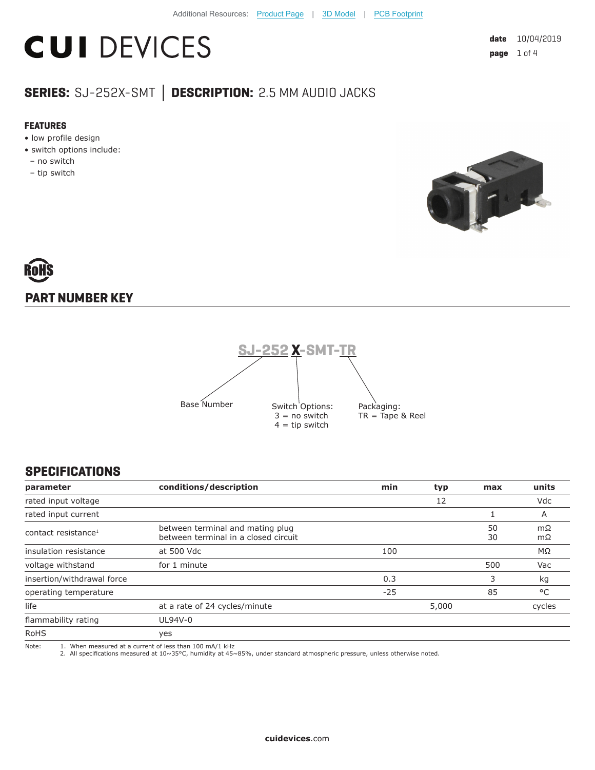## **CUI DEVICES**

| date | 10/04/2019 |
|------|------------|
| page | 1 of 4     |

### **SERIES:** SJ-252X-SMT **│ DESCRIPTION:** 2.5 MM AUDIO JACKS

#### **FEATURES**

- low profile design
- switch options include:
- no switch
- tip switch



# **PART NUMBER KEY**



#### **SPECIFICATIONS**

| parameter                       | conditions/description                                                   | min   | typ | max      | units    |
|---------------------------------|--------------------------------------------------------------------------|-------|-----|----------|----------|
| rated input voltage             |                                                                          |       | 12  |          | Vdc      |
| rated input current             |                                                                          |       |     |          | A        |
| contact resistance <sup>1</sup> | between terminal and mating plug<br>between terminal in a closed circuit |       |     | 50<br>30 | mΩ<br>mΩ |
| insulation resistance           | at 500 Vdc                                                               | 100   |     |          | ΜΩ       |
| voltage withstand               | for 1 minute                                                             |       |     | 500      | Vac      |
| insertion/withdrawal force      |                                                                          | 0.3   |     | 3        | kg       |
| operating temperature           |                                                                          | $-25$ |     | 85       | °C       |
| life                            | at a rate of 24 cycles/minute                                            | 5,000 |     | cycles   |          |
| flammability rating             | UL94V-0                                                                  |       |     |          |          |
| <b>RoHS</b>                     | yes                                                                      |       |     |          |          |
| Note:                           | 1. When measured at a current of less than 100 mA/1 kHz                  |       |     |          |          |

Note: 1. When measured at a current of less than 100 mA/1 kHz 2. All specifications measured at 10~35°C, humidity at 45~85%, under standard atmospheric pressure, unless otherwise noted.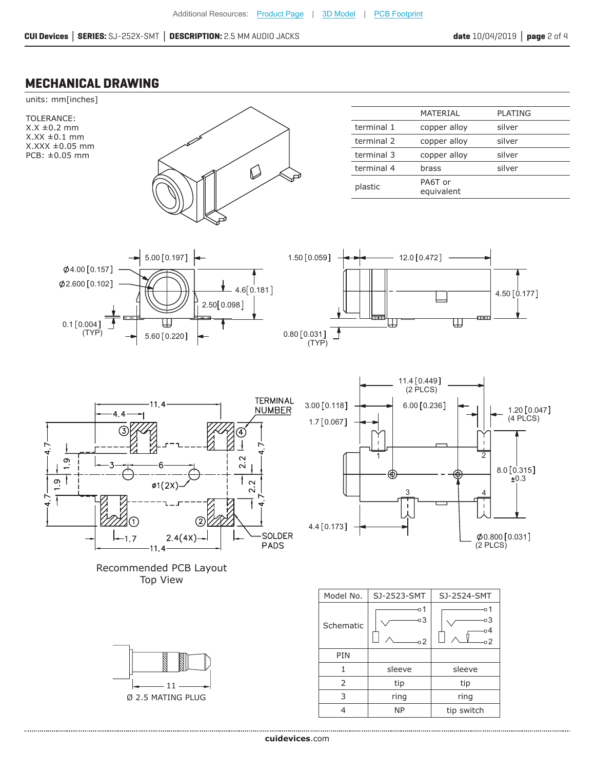#### **MECHANICAL DRAWING**



**cui[devices](https://www.cuidevices.com/track?actionLabel=Datasheet-ClickThrough-HomePage&label=SJ-252X-SMT.pdf&path=/)**.com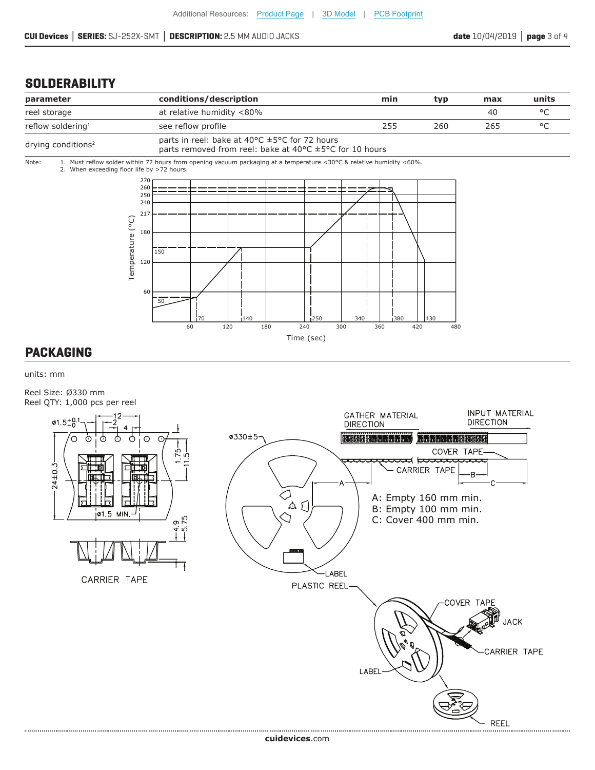#### **SOLDERABILITY**



#### **PACKAGING**

units: mm

Reel Size: Ø330 mm Reel QTY: 1,000 pcs per reel